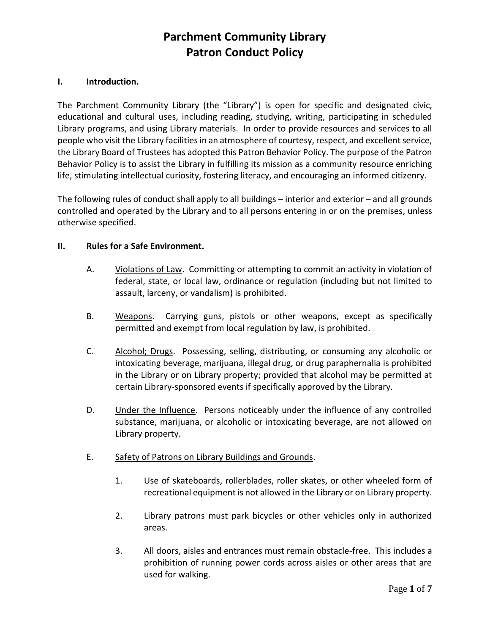# **Parchment Community Library Patron Conduct Policy**

#### **I. Introduction.**

The Parchment Community Library (the "Library") is open for specific and designated civic, educational and cultural uses, including reading, studying, writing, participating in scheduled Library programs, and using Library materials. In order to provide resources and services to all people who visit the Library facilities in an atmosphere of courtesy, respect, and excellent service, the Library Board of Trustees has adopted this Patron Behavior Policy. The purpose of the Patron Behavior Policy is to assist the Library in fulfilling its mission as a community resource enriching life, stimulating intellectual curiosity, fostering literacy, and encouraging an informed citizenry.

The following rules of conduct shall apply to all buildings – interior and exterior – and all grounds controlled and operated by the Library and to all persons entering in or on the premises, unless otherwise specified.

#### **II. Rules for a Safe Environment.**

- A. Violations of Law. Committing or attempting to commit an activity in violation of federal, state, or local law, ordinance or regulation (including but not limited to assault, larceny, or vandalism) is prohibited.
- B. Weapons. Carrying guns, pistols or other weapons, except as specifically permitted and exempt from local regulation by law, is prohibited.
- C. Alcohol; Drugs. Possessing, selling, distributing, or consuming any alcoholic or intoxicating beverage, marijuana, illegal drug, or drug paraphernalia is prohibited in the Library or on Library property; provided that alcohol may be permitted at certain Library-sponsored events if specifically approved by the Library.
- D. Under the Influence. Persons noticeably under the influence of any controlled substance, marijuana, or alcoholic or intoxicating beverage, are not allowed on Library property.
- E. Safety of Patrons on Library Buildings and Grounds.
	- 1. Use of skateboards, rollerblades, roller skates, or other wheeled form of recreational equipment is not allowed in the Library or on Library property.
	- 2. Library patrons must park bicycles or other vehicles only in authorized areas.
	- 3. All doors, aisles and entrances must remain obstacle-free. This includes a prohibition of running power cords across aisles or other areas that are used for walking.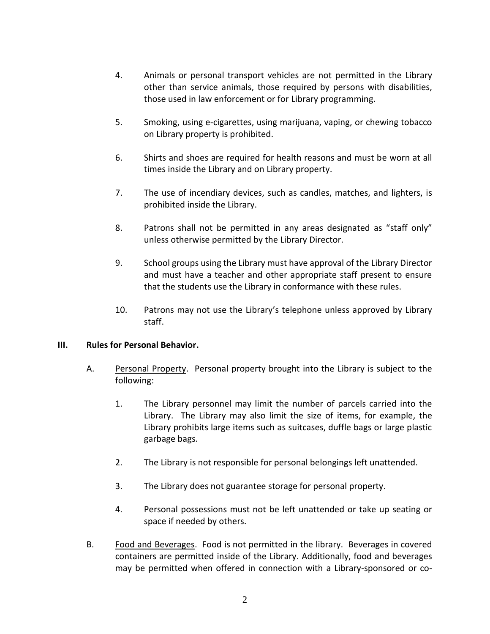- 4. Animals or personal transport vehicles are not permitted in the Library other than service animals, those required by persons with disabilities, those used in law enforcement or for Library programming.
- 5. Smoking, using e-cigarettes, using marijuana, vaping, or chewing tobacco on Library property is prohibited.
- 6. Shirts and shoes are required for health reasons and must be worn at all times inside the Library and on Library property.
- 7. The use of incendiary devices, such as candles, matches, and lighters, is prohibited inside the Library.
- 8. Patrons shall not be permitted in any areas designated as "staff only" unless otherwise permitted by the Library Director.
- 9. School groups using the Library must have approval of the Library Director and must have a teacher and other appropriate staff present to ensure that the students use the Library in conformance with these rules.
- 10. Patrons may not use the Library's telephone unless approved by Library staff.

#### **III. Rules for Personal Behavior.**

- A. Personal Property. Personal property brought into the Library is subject to the following:
	- 1. The Library personnel may limit the number of parcels carried into the Library. The Library may also limit the size of items, for example, the Library prohibits large items such as suitcases, duffle bags or large plastic garbage bags.
	- 2. The Library is not responsible for personal belongings left unattended.
	- 3. The Library does not guarantee storage for personal property.
	- 4. Personal possessions must not be left unattended or take up seating or space if needed by others.
- B. Food and Beverages. Food is not permitted in the library.Beverages in covered containers are permitted inside of the Library. Additionally, food and beverages may be permitted when offered in connection with a Library-sponsored or co-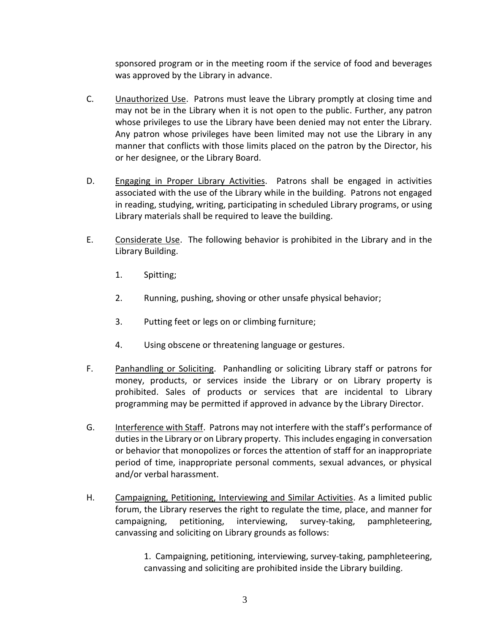sponsored program or in the meeting room if the service of food and beverages was approved by the Library in advance.

- C. Unauthorized Use. Patrons must leave the Library promptly at closing time and may not be in the Library when it is not open to the public. Further, any patron whose privileges to use the Library have been denied may not enter the Library. Any patron whose privileges have been limited may not use the Library in any manner that conflicts with those limits placed on the patron by the Director, his or her designee, or the Library Board.
- D. Engaging in Proper Library Activities. Patrons shall be engaged in activities associated with the use of the Library while in the building. Patrons not engaged in reading, studying, writing, participating in scheduled Library programs, or using Library materials shall be required to leave the building.
- E. Considerate Use. The following behavior is prohibited in the Library and in the Library Building.
	- 1. Spitting;
	- 2. Running, pushing, shoving or other unsafe physical behavior;
	- 3. Putting feet or legs on or climbing furniture;
	- 4. Using obscene or threatening language or gestures.
- F. Panhandling or Soliciting. Panhandling or soliciting Library staff or patrons for money, products, or services inside the Library or on Library property is prohibited. Sales of products or services that are incidental to Library programming may be permitted if approved in advance by the Library Director.
- G. Interference with Staff. Patrons may not interfere with the staff's performance of duties in the Library or on Library property. This includes engaging in conversation or behavior that monopolizes or forces the attention of staff for an inappropriate period of time, inappropriate personal comments, sexual advances, or physical and/or verbal harassment.
- H. Campaigning, Petitioning, Interviewing and Similar Activities. As a limited public forum, the Library reserves the right to regulate the time, place, and manner for campaigning, petitioning, interviewing, survey-taking, pamphleteering, canvassing and soliciting on Library grounds as follows:

1. Campaigning, petitioning, interviewing, survey-taking, pamphleteering, canvassing and soliciting are prohibited inside the Library building.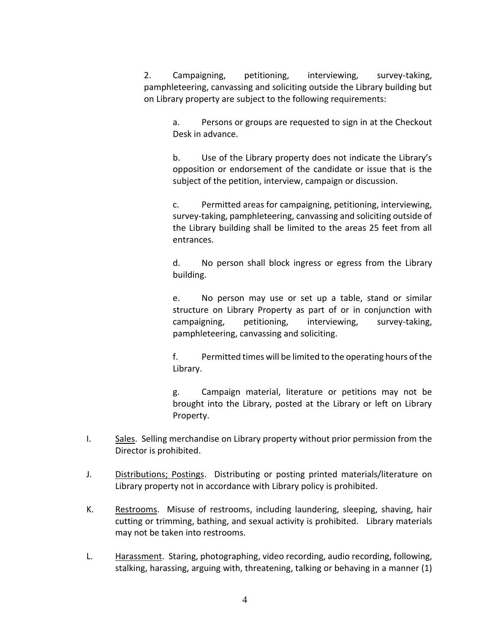2. Campaigning, petitioning, interviewing, survey-taking, pamphleteering, canvassing and soliciting outside the Library building but on Library property are subject to the following requirements:

> a. Persons or groups are requested to sign in at the Checkout Desk in advance.

> b. Use of the Library property does not indicate the Library's opposition or endorsement of the candidate or issue that is the subject of the petition, interview, campaign or discussion.

> c. Permitted areas for campaigning, petitioning, interviewing, survey-taking, pamphleteering, canvassing and soliciting outside of the Library building shall be limited to the areas 25 feet from all entrances.

> d. No person shall block ingress or egress from the Library building.

> e. No person may use or set up a table, stand or similar structure on Library Property as part of or in conjunction with campaigning, petitioning, interviewing, survey-taking, pamphleteering, canvassing and soliciting.

> f. Permitted times will be limited to the operating hours of the Library.

> g. Campaign material, literature or petitions may not be brought into the Library, posted at the Library or left on Library Property.

- I. Sales. Selling merchandise on Library property without prior permission from the Director is prohibited.
- J. Distributions; Postings. Distributing or posting printed materials/literature on Library property not in accordance with Library policy is prohibited.
- K. Restrooms. Misuse of restrooms, including laundering, sleeping, shaving, hair cutting or trimming, bathing, and sexual activity is prohibited. Library materials may not be taken into restrooms.
- L. Harassment. Staring, photographing, video recording, audio recording, following, stalking, harassing, arguing with, threatening, talking or behaving in a manner (1)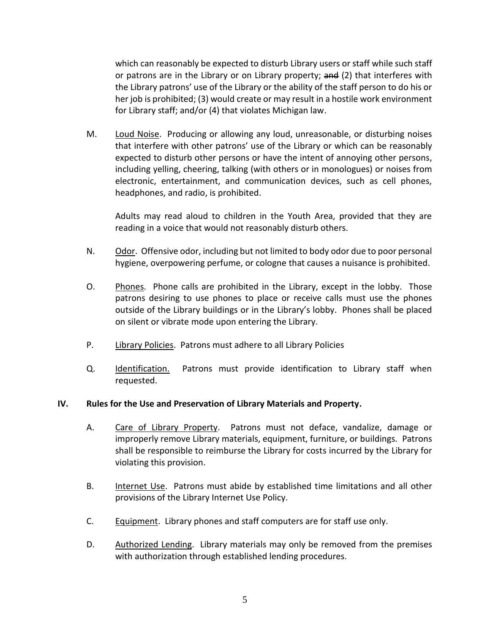which can reasonably be expected to disturb Library users or staff while such staff or patrons are in the Library or on Library property; and (2) that interferes with the Library patrons' use of the Library or the ability of the staff person to do his or her job is prohibited; (3) would create or may result in a hostile work environment for Library staff; and/or (4) that violates Michigan law.

M. Loud Noise. Producing or allowing any loud, unreasonable, or disturbing noises that interfere with other patrons' use of the Library or which can be reasonably expected to disturb other persons or have the intent of annoying other persons, including yelling, cheering, talking (with others or in monologues) or noises from electronic, entertainment, and communication devices, such as cell phones, headphones, and radio, is prohibited.

Adults may read aloud to children in the Youth Area, provided that they are reading in a voice that would not reasonably disturb others.

- N. Odor. Offensive odor, including but not limited to body odor due to poor personal hygiene, overpowering perfume, or cologne that causes a nuisance is prohibited.
- O. Phones. Phone calls are prohibited in the Library, except in the lobby. Those patrons desiring to use phones to place or receive calls must use the phones outside of the Library buildings or in the Library's lobby. Phones shall be placed on silent or vibrate mode upon entering the Library.
- P. Library Policies. Patrons must adhere to all Library Policies
- Q. Identification. Patrons must provide identification to Library staff when requested.

#### **IV. Rules for the Use and Preservation of Library Materials and Property.**

- A. Care of Library Property. Patrons must not deface, vandalize, damage or improperly remove Library materials, equipment, furniture, or buildings. Patrons shall be responsible to reimburse the Library for costs incurred by the Library for violating this provision.
- B. Internet Use. Patrons must abide by established time limitations and all other provisions of the Library Internet Use Policy.
- C. Equipment. Library phones and staff computers are for staff use only.
- D. Authorized Lending. Library materials may only be removed from the premises with authorization through established lending procedures.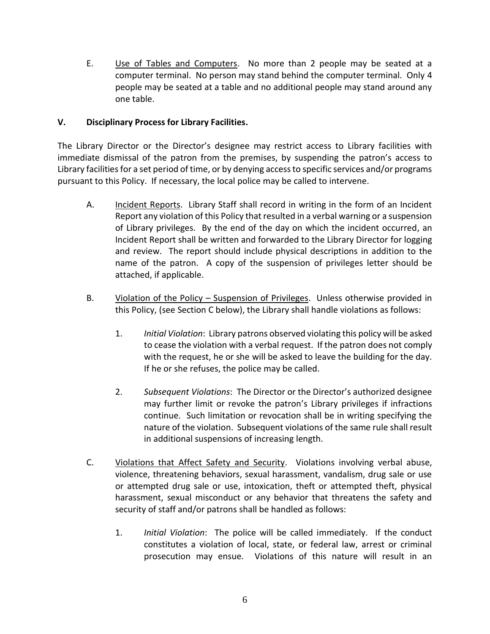E. Use of Tables and Computers. No more than 2 people may be seated at a computer terminal. No person may stand behind the computer terminal. Only 4 people may be seated at a table and no additional people may stand around any one table.

## **V. Disciplinary Process for Library Facilities.**

The Library Director or the Director's designee may restrict access to Library facilities with immediate dismissal of the patron from the premises, by suspending the patron's access to Library facilities for a set period of time, or by denying access to specific services and/or programs pursuant to this Policy. If necessary, the local police may be called to intervene.

- A. Incident Reports. Library Staff shall record in writing in the form of an Incident Report any violation of this Policy that resulted in a verbal warning or a suspension of Library privileges. By the end of the day on which the incident occurred, an Incident Report shall be written and forwarded to the Library Director for logging and review. The report should include physical descriptions in addition to the name of the patron. A copy of the suspension of privileges letter should be attached, if applicable.
- B. Violation of the Policy Suspension of Privileges. Unless otherwise provided in this Policy, (see Section C below), the Library shall handle violations as follows:
	- 1. *Initial Violation*: Library patrons observed violating this policy will be asked to cease the violation with a verbal request. If the patron does not comply with the request, he or she will be asked to leave the building for the day. If he or she refuses, the police may be called.
	- 2. *Subsequent Violations*: The Director or the Director's authorized designee may further limit or revoke the patron's Library privileges if infractions continue. Such limitation or revocation shall be in writing specifying the nature of the violation. Subsequent violations of the same rule shall result in additional suspensions of increasing length.
- C. Violations that Affect Safety and Security. Violations involving verbal abuse, violence, threatening behaviors, sexual harassment, vandalism, drug sale or use or attempted drug sale or use, intoxication, theft or attempted theft, physical harassment, sexual misconduct or any behavior that threatens the safety and security of staff and/or patrons shall be handled as follows:
	- 1. *Initial Violation*: The police will be called immediately. If the conduct constitutes a violation of local, state, or federal law, arrest or criminal prosecution may ensue. Violations of this nature will result in an